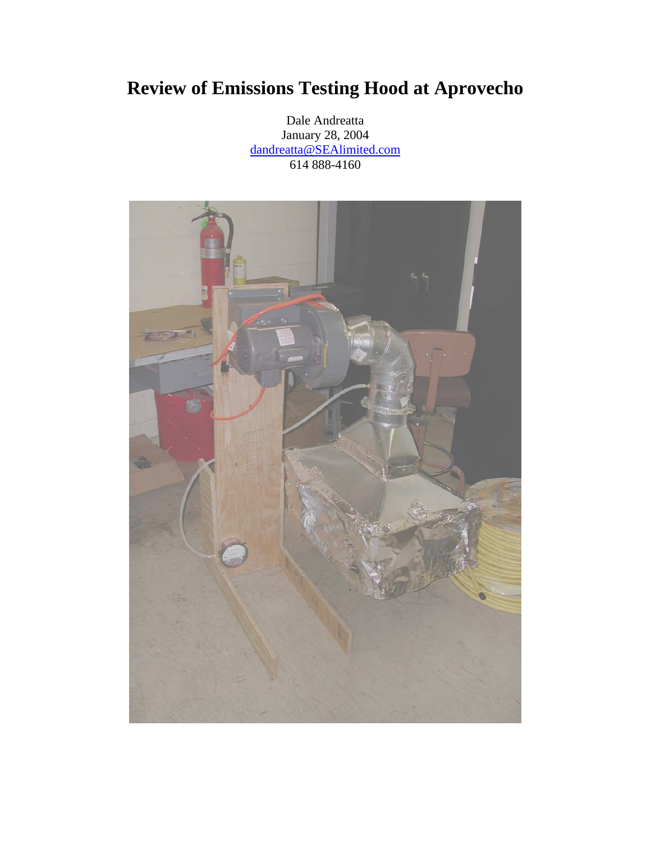# **Review of Emissions Testing Hood at Aprovecho**

Dale Andreatta January 28, 2004 dandreatta@SEAlimited.com 614 888-4160

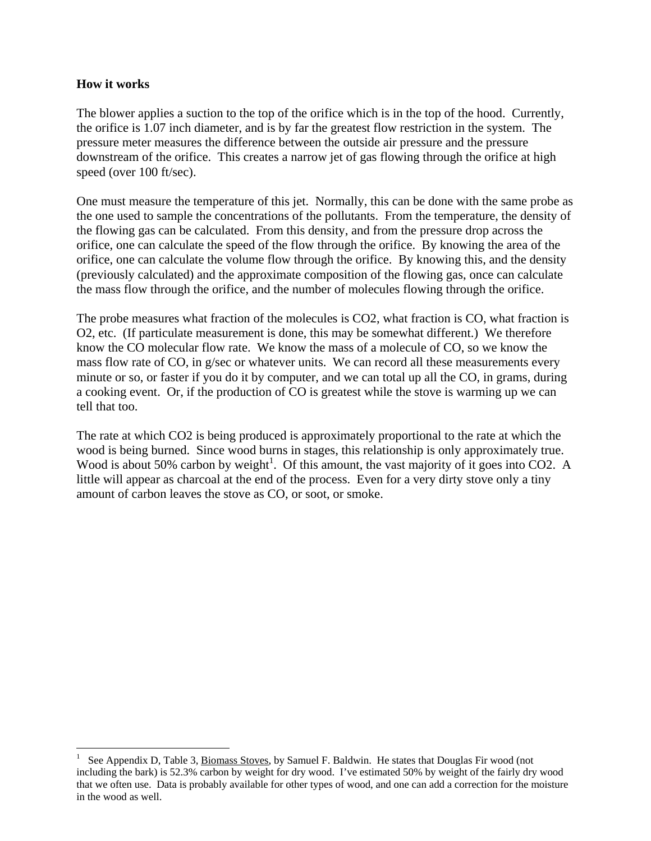#### **How it works**

 $\overline{a}$ 

The blower applies a suction to the top of the orifice which is in the top of the hood. Currently, the orifice is 1.07 inch diameter, and is by far the greatest flow restriction in the system. The pressure meter measures the difference between the outside air pressure and the pressure downstream of the orifice. This creates a narrow jet of gas flowing through the orifice at high speed (over 100 ft/sec).

One must measure the temperature of this jet. Normally, this can be done with the same probe as the one used to sample the concentrations of the pollutants. From the temperature, the density of the flowing gas can be calculated. From this density, and from the pressure drop across the orifice, one can calculate the speed of the flow through the orifice. By knowing the area of the orifice, one can calculate the volume flow through the orifice. By knowing this, and the density (previously calculated) and the approximate composition of the flowing gas, once can calculate the mass flow through the orifice, and the number of molecules flowing through the orifice.

The probe measures what fraction of the molecules is CO2, what fraction is CO, what fraction is O2, etc. (If particulate measurement is done, this may be somewhat different.) We therefore know the CO molecular flow rate. We know the mass of a molecule of CO, so we know the mass flow rate of CO, in g/sec or whatever units. We can record all these measurements every minute or so, or faster if you do it by computer, and we can total up all the CO, in grams, during a cooking event. Or, if the production of CO is greatest while the stove is warming up we can tell that too.

The rate at which CO2 is being produced is approximately proportional to the rate at which the wood is being burned. Since wood burns in stages, this relationship is only approximately true. Wood is about 50% carbon by weight<sup>1</sup>. Of this amount, the vast majority of it goes into CO2. A little will appear as charcoal at the end of the process. Even for a very dirty stove only a tiny amount of carbon leaves the stove as CO, or soot, or smoke.

<sup>1</sup> See Appendix D, Table 3, Biomass Stoves, by Samuel F. Baldwin. He states that Douglas Fir wood (not including the bark) is 52.3% carbon by weight for dry wood. I've estimated 50% by weight of the fairly dry wood that we often use. Data is probably available for other types of wood, and one can add a correction for the moisture in the wood as well.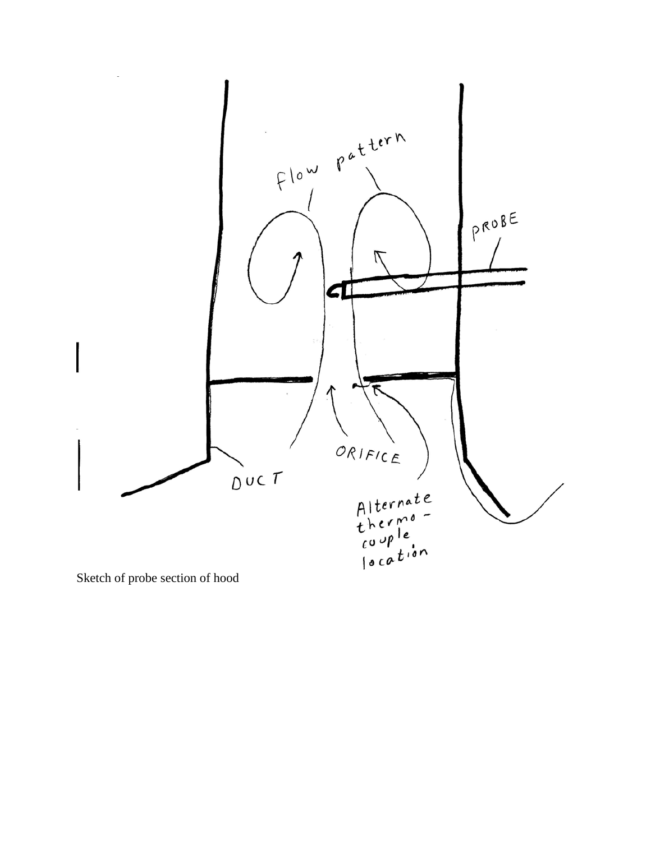

Sketch of probe section of hood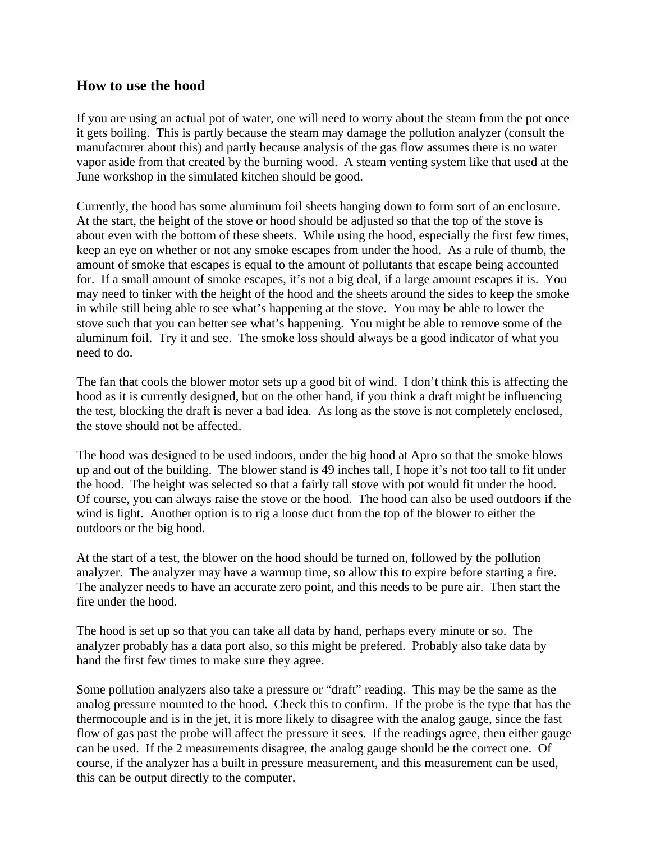#### **How to use the hood**

If you are using an actual pot of water, one will need to worry about the steam from the pot once it gets boiling. This is partly because the steam may damage the pollution analyzer (consult the manufacturer about this) and partly because analysis of the gas flow assumes there is no water vapor aside from that created by the burning wood. A steam venting system like that used at the June workshop in the simulated kitchen should be good.

Currently, the hood has some aluminum foil sheets hanging down to form sort of an enclosure. At the start, the height of the stove or hood should be adjusted so that the top of the stove is about even with the bottom of these sheets. While using the hood, especially the first few times, keep an eye on whether or not any smoke escapes from under the hood. As a rule of thumb, the amount of smoke that escapes is equal to the amount of pollutants that escape being accounted for. If a small amount of smoke escapes, it's not a big deal, if a large amount escapes it is. You may need to tinker with the height of the hood and the sheets around the sides to keep the smoke in while still being able to see what's happening at the stove. You may be able to lower the stove such that you can better see what's happening. You might be able to remove some of the aluminum foil. Try it and see. The smoke loss should always be a good indicator of what you need to do.

The fan that cools the blower motor sets up a good bit of wind. I don't think this is affecting the hood as it is currently designed, but on the other hand, if you think a draft might be influencing the test, blocking the draft is never a bad idea. As long as the stove is not completely enclosed, the stove should not be affected.

The hood was designed to be used indoors, under the big hood at Apro so that the smoke blows up and out of the building. The blower stand is 49 inches tall, I hope it's not too tall to fit under the hood. The height was selected so that a fairly tall stove with pot would fit under the hood. Of course, you can always raise the stove or the hood. The hood can also be used outdoors if the wind is light. Another option is to rig a loose duct from the top of the blower to either the outdoors or the big hood.

At the start of a test, the blower on the hood should be turned on, followed by the pollution analyzer. The analyzer may have a warmup time, so allow this to expire before starting a fire. The analyzer needs to have an accurate zero point, and this needs to be pure air. Then start the fire under the hood.

The hood is set up so that you can take all data by hand, perhaps every minute or so. The analyzer probably has a data port also, so this might be prefered. Probably also take data by hand the first few times to make sure they agree.

Some pollution analyzers also take a pressure or "draft" reading. This may be the same as the analog pressure mounted to the hood. Check this to confirm. If the probe is the type that has the thermocouple and is in the jet, it is more likely to disagree with the analog gauge, since the fast flow of gas past the probe will affect the pressure it sees. If the readings agree, then either gauge can be used. If the 2 measurements disagree, the analog gauge should be the correct one. Of course, if the analyzer has a built in pressure measurement, and this measurement can be used, this can be output directly to the computer.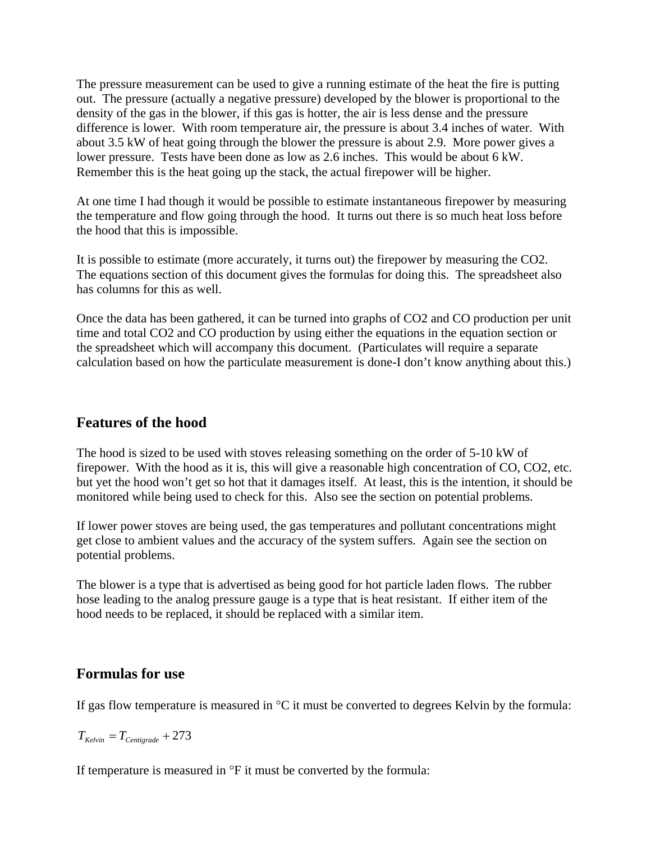The pressure measurement can be used to give a running estimate of the heat the fire is putting out. The pressure (actually a negative pressure) developed by the blower is proportional to the density of the gas in the blower, if this gas is hotter, the air is less dense and the pressure difference is lower. With room temperature air, the pressure is about 3.4 inches of water. With about 3.5 kW of heat going through the blower the pressure is about 2.9. More power gives a lower pressure. Tests have been done as low as 2.6 inches. This would be about 6 kW. Remember this is the heat going up the stack, the actual firepower will be higher.

At one time I had though it would be possible to estimate instantaneous firepower by measuring the temperature and flow going through the hood. It turns out there is so much heat loss before the hood that this is impossible.

It is possible to estimate (more accurately, it turns out) the firepower by measuring the CO2. The equations section of this document gives the formulas for doing this. The spreadsheet also has columns for this as well.

Once the data has been gathered, it can be turned into graphs of CO2 and CO production per unit time and total CO2 and CO production by using either the equations in the equation section or the spreadsheet which will accompany this document. (Particulates will require a separate calculation based on how the particulate measurement is done-I don't know anything about this.)

## **Features of the hood**

The hood is sized to be used with stoves releasing something on the order of 5-10 kW of firepower. With the hood as it is, this will give a reasonable high concentration of CO, CO2, etc. but yet the hood won't get so hot that it damages itself. At least, this is the intention, it should be monitored while being used to check for this. Also see the section on potential problems.

If lower power stoves are being used, the gas temperatures and pollutant concentrations might get close to ambient values and the accuracy of the system suffers. Again see the section on potential problems.

The blower is a type that is advertised as being good for hot particle laden flows. The rubber hose leading to the analog pressure gauge is a type that is heat resistant. If either item of the hood needs to be replaced, it should be replaced with a similar item.

#### **Formulas for use**

If gas flow temperature is measured in  $\mathrm{C}$  it must be converted to degrees Kelvin by the formula:

 $T_{Kelvin} = T_{Centigrade} + 273$ 

If temperature is measured in °F it must be converted by the formula: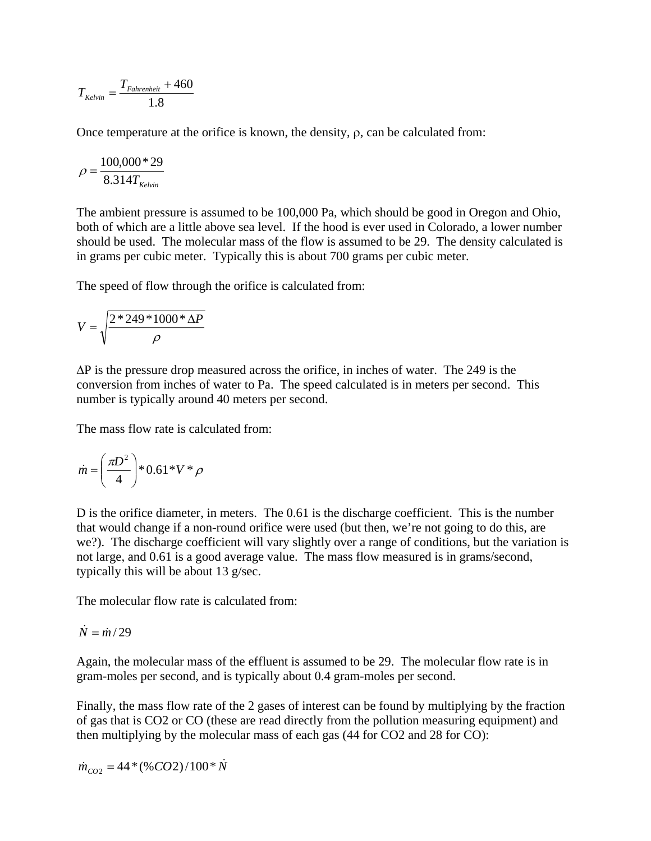$$
T_{\text{Kelvin}} = \frac{T_{\text{Fahrenheit}} + 460}{1.8}
$$

Once temperature at the orifice is known, the density,  $\rho$ , can be calculated from:

$$
\rho = \frac{100,000 * 29}{8.314 T_{\text{Kelvin}}}
$$

The ambient pressure is assumed to be 100,000 Pa, which should be good in Oregon and Ohio, both of which are a little above sea level. If the hood is ever used in Colorado, a lower number should be used. The molecular mass of the flow is assumed to be 29. The density calculated is in grams per cubic meter. Typically this is about 700 grams per cubic meter.

The speed of flow through the orifice is calculated from:

$$
V = \sqrt{\frac{2 \cdot 249 \cdot 1000 \cdot \Delta P}{\rho}}
$$

∆P is the pressure drop measured across the orifice, in inches of water. The 249 is the conversion from inches of water to Pa. The speed calculated is in meters per second. This number is typically around 40 meters per second.

The mass flow rate is calculated from:

$$
\dot{m} = \left(\frac{\pi D^2}{4}\right) * 0.61 * V * \rho
$$

D is the orifice diameter, in meters. The 0.61 is the discharge coefficient. This is the number that would change if a non-round orifice were used (but then, we're not going to do this, are we?). The discharge coefficient will vary slightly over a range of conditions, but the variation is not large, and 0.61 is a good average value. The mass flow measured is in grams/second, typically this will be about 13 g/sec.

The molecular flow rate is calculated from:

$$
\dot{N} = \dot{m}/29
$$

Again, the molecular mass of the effluent is assumed to be 29. The molecular flow rate is in gram-moles per second, and is typically about 0.4 gram-moles per second.

Finally, the mass flow rate of the 2 gases of interest can be found by multiplying by the fraction of gas that is CO2 or CO (these are read directly from the pollution measuring equipment) and then multiplying by the molecular mass of each gas (44 for CO2 and 28 for CO):

$$
\dot{m}_{CO2} = 44*(\%CO2)/100*\dot{N}
$$